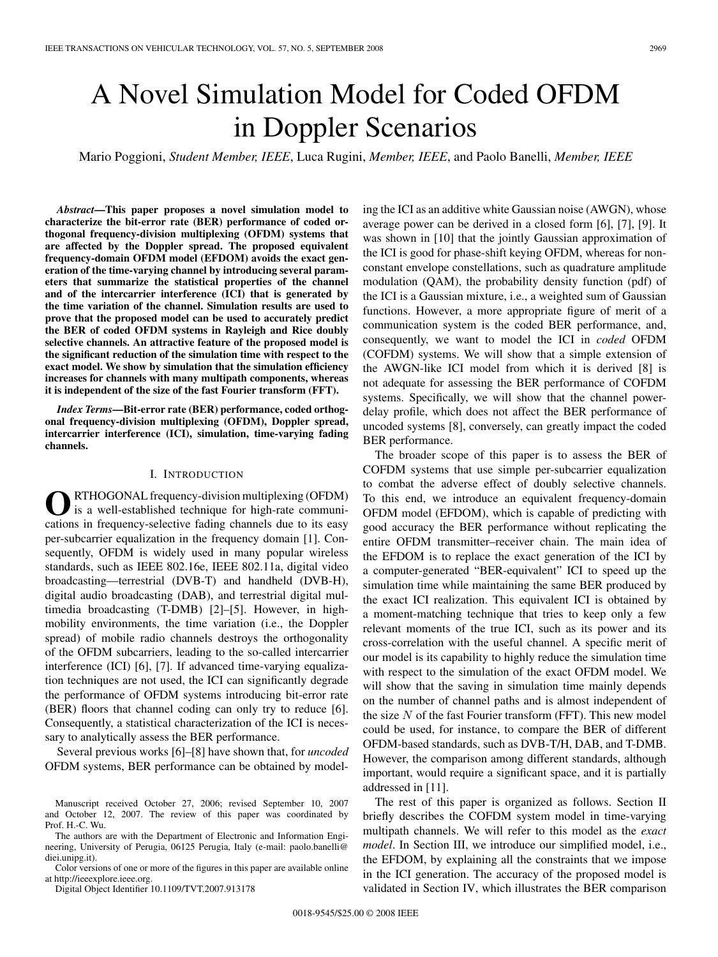# A Novel Simulation Model for Coded OFDM in Doppler Scenarios

Mario Poggioni, *Student Member, IEEE*, Luca Rugini, *Member, IEEE*, and Paolo Banelli, *Member, IEEE*

*Abstract***—This paper proposes a novel simulation model to characterize the bit-error rate (BER) performance of coded orthogonal frequency-division multiplexing (OFDM) systems that are affected by the Doppler spread. The proposed equivalent frequency-domain OFDM model (EFDOM) avoids the exact generation of the time-varying channel by introducing several parameters that summarize the statistical properties of the channel and of the intercarrier interference (ICI) that is generated by the time variation of the channel. Simulation results are used to prove that the proposed model can be used to accurately predict the BER of coded OFDM systems in Rayleigh and Rice doubly selective channels. An attractive feature of the proposed model is the significant reduction of the simulation time with respect to the exact model. We show by simulation that the simulation efficiency increases for channels with many multipath components, whereas it is independent of the size of the fast Fourier transform (FFT).**

*Index Terms***—Bit-error rate (BER) performance, coded orthogonal frequency-division multiplexing (OFDM), Doppler spread, intercarrier interference (ICI), simulation, time-varying fading channels.**

## I. INTRODUCTION

**O**RTHOGONAL frequency-division multiplexing (OFDM) is a well-established technique for high-rate communications in frequency-selective fading channels due to its easy per-subcarrier equalization in the frequency domain [1]. Consequently, OFDM is widely used in many popular wireless standards, such as IEEE 802.16e, IEEE 802.11a, digital video broadcasting—terrestrial (DVB-T) and handheld (DVB-H), digital audio broadcasting (DAB), and terrestrial digital multimedia broadcasting (T-DMB) [2]–[5]. However, in highmobility environments, the time variation (i.e., the Doppler spread) of mobile radio channels destroys the orthogonality of the OFDM subcarriers, leading to the so-called intercarrier interference (ICI) [6], [7]. If advanced time-varying equalization techniques are not used, the ICI can significantly degrade the performance of OFDM systems introducing bit-error rate (BER) floors that channel coding can only try to reduce [6]. Consequently, a statistical characterization of the ICI is necessary to analytically assess the BER performance.

Several previous works [6]–[8] have shown that, for *uncoded* OFDM systems, BER performance can be obtained by model-

The authors are with the Department of Electronic and Information Engineering, University of Perugia, 06125 Perugia, Italy (e-mail: paolo.banelli@ diei.unipg.it).

Color versions of one or more of the figures in this paper are available online at http://ieeexplore.ieee.org.

Digital Object Identifier 10.1109/TVT.2007.913178

ing the ICI as an additive white Gaussian noise (AWGN), whose average power can be derived in a closed form [6], [7], [9]. It was shown in [10] that the jointly Gaussian approximation of the ICI is good for phase-shift keying OFDM, whereas for nonconstant envelope constellations, such as quadrature amplitude modulation (QAM), the probability density function (pdf) of the ICI is a Gaussian mixture, i.e., a weighted sum of Gaussian functions. However, a more appropriate figure of merit of a communication system is the coded BER performance, and, consequently, we want to model the ICI in *coded* OFDM (COFDM) systems. We will show that a simple extension of the AWGN-like ICI model from which it is derived [8] is not adequate for assessing the BER performance of COFDM systems. Specifically, we will show that the channel powerdelay profile, which does not affect the BER performance of uncoded systems [8], conversely, can greatly impact the coded BER performance.

The broader scope of this paper is to assess the BER of COFDM systems that use simple per-subcarrier equalization to combat the adverse effect of doubly selective channels. To this end, we introduce an equivalent frequency-domain OFDM model (EFDOM), which is capable of predicting with good accuracy the BER performance without replicating the entire OFDM transmitter–receiver chain. The main idea of the EFDOM is to replace the exact generation of the ICI by a computer-generated "BER-equivalent" ICI to speed up the simulation time while maintaining the same BER produced by the exact ICI realization. This equivalent ICI is obtained by a moment-matching technique that tries to keep only a few relevant moments of the true ICI, such as its power and its cross-correlation with the useful channel. A specific merit of our model is its capability to highly reduce the simulation time with respect to the simulation of the exact OFDM model. We will show that the saving in simulation time mainly depends on the number of channel paths and is almost independent of the size  $N$  of the fast Fourier transform (FFT). This new model could be used, for instance, to compare the BER of different OFDM-based standards, such as DVB-T/H, DAB, and T-DMB. However, the comparison among different standards, although important, would require a significant space, and it is partially addressed in [11].

The rest of this paper is organized as follows. Section II briefly describes the COFDM system model in time-varying multipath channels. We will refer to this model as the *exact model*. In Section III, we introduce our simplified model, i.e., the EFDOM, by explaining all the constraints that we impose in the ICI generation. The accuracy of the proposed model is validated in Section IV, which illustrates the BER comparison

Manuscript received October 27, 2006; revised September 10, 2007 and October 12, 2007. The review of this paper was coordinated by Prof. H.-C. Wu.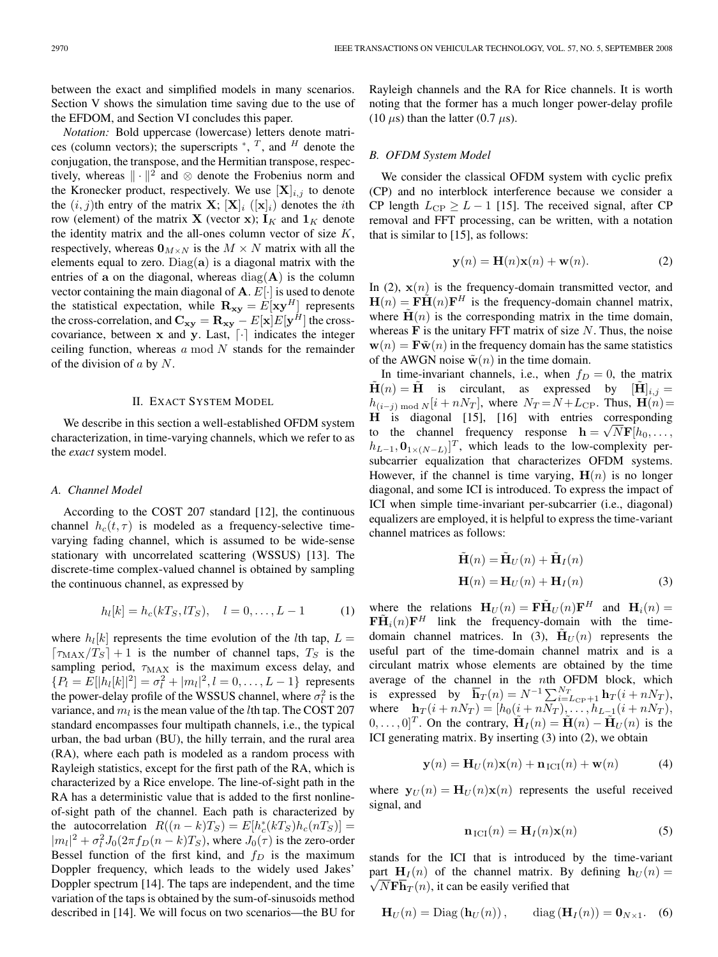between the exact and simplified models in many scenarios. Section V shows the simulation time saving due to the use of the EFDOM, and Section VI concludes this paper.

*Notation:* Bold uppercase (lowercase) letters denote matrices (column vectors); the superscripts  $*, T$ , and H denote the conjugation, the transpose, and the Hermitian transpose, respectively, whereas  $\|\cdot\|^2$  and ⊗ denote the Frobenius norm and the Kronecker product, respectively. We use  $[X]_{i,j}$  to denote the  $(i, j)$ th entry of the matrix **X**;  $[\mathbf{X}]_i$  ( $[\mathbf{x}]_i$ ) denotes the *i*th row (element) of the matrix **X** (vector **x**);  $\mathbf{I}_K$  and  $\mathbf{1}_K$  denote the identity matrix and the all-ones column vector of size  $K$ , respectively, whereas  $\mathbf{0}_{M \times N}$  is the  $M \times N$  matrix with all the elements equal to zero. Diag(**a**) is a diagonal matrix with the entries of **a** on the diagonal, whereas  $diag(A)$  is the column vector containing the main diagonal of **A**. E[·] is used to denote the statistical expectation, while  $\mathbf{R}_{\mathbf{x}\mathbf{y}} = E[\mathbf{x}\mathbf{y}^H]$  represents the cross-correlation, and  $\mathbf{C_{xy}} = \mathbf{R_{xy}} - E[\mathbf{x}]E[\mathbf{y}^H]$  the crosscovariance, between  $x$  and  $y$ . Last,  $\lceil \cdot \rceil$  indicates the integer ceiling function, whereas  $a \mod N$  stands for the remainder of the division of  $a$  by  $N$ .

# II. EXACT SYSTEM MODEL

We describe in this section a well-established OFDM system characterization, in time-varying channels, which we refer to as the *exact* system model.

## *A. Channel Model*

According to the COST 207 standard [12], the continuous channel  $h_c(t, \tau)$  is modeled as a frequency-selective timevarying fading channel, which is assumed to be wide-sense stationary with uncorrelated scattering (WSSUS) [13]. The discrete-time complex-valued channel is obtained by sampling the continuous channel, as expressed by

$$
h_l[k] = h_c(kT_S, lT_S), \quad l = 0, \dots, L - 1 \tag{1}
$$

where  $h_l[k]$  represents the time evolution of the *l*th tap,  $L =$  $\lceil \tau_{MAX}/T_S \rceil + 1$  is the number of channel taps,  $T_S$  is the sampling period,  $\tau_{MAX}$  is the maximum excess delay, and  ${P_l = E[|h_l[k]|^2] = \sigma_l^2 + |m_l|^2, l = 0, \ldots, L-1}$  represents the power-delay profile of the WSSUS channel, where  $\sigma_l^2$  is the variance, and  $m_l$  is the mean value of the *l*th tap. The COST 207 standard encompasses four multipath channels, i.e., the typical urban, the bad urban (BU), the hilly terrain, and the rural area (RA), where each path is modeled as a random process with Rayleigh statistics, except for the first path of the RA, which is characterized by a Rice envelope. The line-of-sight path in the RA has a deterministic value that is added to the first nonlineof-sight path of the channel. Each path is characterized by the autocorrelation  $R((n-k)T_S) = E[h_c^*(kT_S)h_c(nT_S)] =$  $|m_l|^2 + \sigma_l^2 J_0(2\pi f_D(n-k)T_S)$ , where  $J_0(\tau)$  is the zero-order Bessel function of the first kind, and  $f_D$  is the maximum Doppler frequency, which leads to the widely used Jakes' Doppler spectrum [14]. The taps are independent, and the time variation of the taps is obtained by the sum-of-sinusoids method described in [14]. We will focus on two scenarios—the BU for Rayleigh channels and the RA for Rice channels. It is worth noting that the former has a much longer power-delay profile (10  $\mu$ s) than the latter (0.7  $\mu$ s).

## *B. OFDM System Model*

We consider the classical OFDM system with cyclic prefix (CP) and no interblock interference because we consider a CP length  $L_{\text{CP}} \geq L - 1$  [15]. The received signal, after CP removal and FFT processing, can be written, with a notation that is similar to [15], as follows:

$$
\mathbf{y}(n) = \mathbf{H}(n)\mathbf{x}(n) + \mathbf{w}(n). \tag{2}
$$

In (2),  $\mathbf{x}(n)$  is the frequency-domain transmitted vector, and  $\mathbf{H}(n) = \mathbf{F}\tilde{\mathbf{H}}(n)\mathbf{F}^H$  is the frequency-domain channel matrix, where  $\mathbf{H}(n)$  is the corresponding matrix in the time domain, whereas  $\bf{F}$  is the unitary FFT matrix of size  $N$ . Thus, the noise  $\mathbf{w}(n) = \mathbf{F}\tilde{\mathbf{w}}(n)$  in the frequency domain has the same statistics of the AWGN noise  $\tilde{\mathbf{w}}(n)$  in the time domain.

In time-invariant channels, i.e., when  $f_D = 0$ , the matrix  $H(n) = H$  is circulant, as expressed by  $[\tilde{H}]_{i,j} =$  $h_{(i-j) \text{ mod } N} [i + nN_T]$ , where  $N_T = N + L_{\text{CP}}$ . Thus,  $\mathbf{H}(n) =$ **H** is diagonal [15], [16] with entries corresponding **th** is diagonal [15], [16] with entries corresponding<br>to the channel frequency response  $\mathbf{h} = \sqrt{N}\mathbf{F}[h_0, \dots]$  $[h_{L-1}, \mathbf{0}_{1 \times (N-L)}]^T$ , which leads to the low-complexity persubcarrier equalization that characterizes OFDM systems. However, if the channel is time varying,  $H(n)$  is no longer diagonal, and some ICI is introduced. To express the impact of ICI when simple time-invariant per-subcarrier (i.e., diagonal) equalizers are employed, it is helpful to express the time-variant channel matrices as follows:

$$
\tilde{\mathbf{H}}(n) = \tilde{\mathbf{H}}_U(n) + \tilde{\mathbf{H}}_I(n)
$$
  
\n
$$
\mathbf{H}(n) = \mathbf{H}_U(n) + \mathbf{H}_I(n)
$$
\n(3)

where the relations  $\mathbf{H}_U(n) = \mathbf{F}\tilde{\mathbf{H}}_U(n)\mathbf{F}^H$  and  $\mathbf{H}_i(n) =$  $\mathbf{F}\tilde{\mathbf{H}}_i(n)\mathbf{F}^H$  link the frequency-domain with the timedomain channel matrices. In (3),  $\mathbf{H}_U(n)$  represents the useful part of the time-domain channel matrix and is a circulant matrix whose elements are obtained by the time average of the channel in the nth OFDM block, which is expressed by  $\overline{\mathbf{h}}_T(n) = N^{-1} \sum_{i=L_{\text{CP}}+1}^{N_T} \mathbf{h}_T(i+nN_T),$ where  $\mathbf{h}_T(i + nN_T) = [h_0(i + nN_T), \dots, h_{L-1}(i + nN_T)]$  $[0, \ldots, 0]^T$ . On the contrary,  $\mathbf{H}_I(n) = \mathbf{H}(n) - \mathbf{H}_U(n)$  is the ICI generating matrix. By inserting (3) into (2), we obtain

$$
\mathbf{y}(n) = \mathbf{H}_U(n)\mathbf{x}(n) + \mathbf{n}_{\text{ICI}}(n) + \mathbf{w}(n) \tag{4}
$$

where  $\mathbf{y}_U(n) = \mathbf{H}_U(n)\mathbf{x}(n)$  represents the useful received signal, and

$$
\mathbf{n}_{\mathrm{ICI}}(n) = \mathbf{H}_{I}(n)\mathbf{x}(n) \tag{5}
$$

stands for the ICI that is introduced by the time-variant part  $\mathbf{H}_I(n)$  of the channel matrix. By defining  $\mathbf{h}_U(n) =$  $\sqrt{NF\mathbf{h}_T(n)}$ , it can be easily verified that

$$
\mathbf{H}_U(n) = \text{Diag}(\mathbf{h}_U(n)), \qquad \text{diag}(\mathbf{H}_I(n)) = \mathbf{0}_{N \times 1}. \quad (6)
$$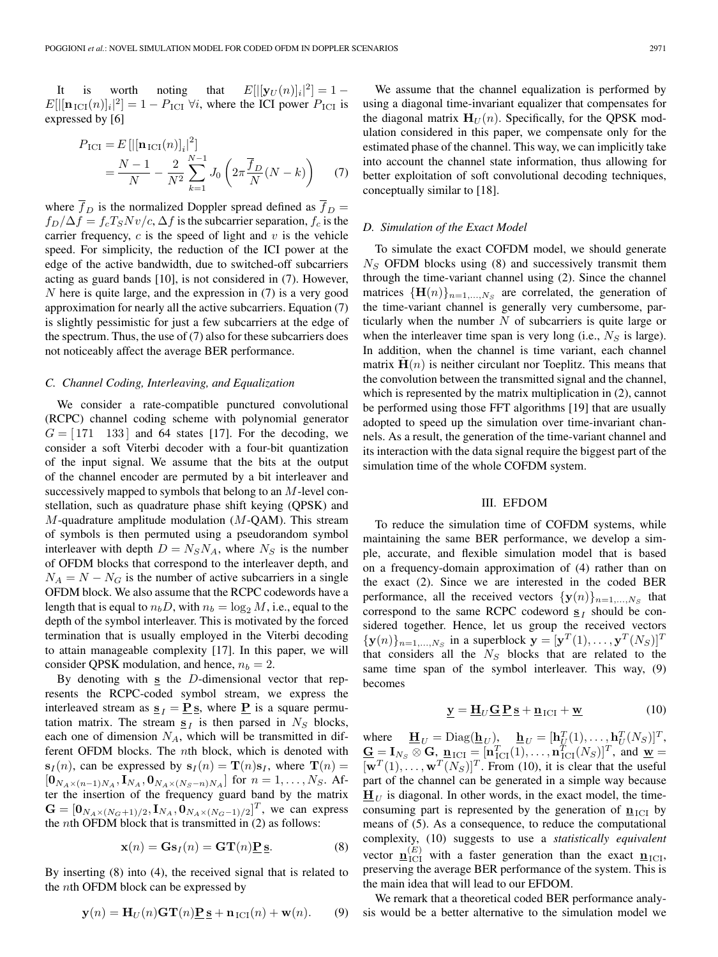It is worth noting that  $E[|[\mathbf{y}_U(n)]_i|^2] = 1 E[$ [[ $[\mathbf{n}_{\text{ICI}}(n)]_i$ <sup>[2</sup>] = 1 –  $P_{\text{ICI}}$   $\forall i$ , where the ICI power  $P_{\text{ICI}}$  is expressed by [6]

$$
P_{\text{ICI}} = E\left[\left|\left[\mathbf{n}_{\text{ICI}}(n)\right]_i\right|^2\right] \\
= \frac{N-1}{N} - \frac{2}{N^2} \sum_{k=1}^{N-1} J_0\left(2\pi \frac{\overline{f}_D}{N}(N-k)\right) \tag{7}
$$

where  $\overline{f}_D$  is the normalized Doppler spread defined as  $\overline{f}_D$  =  $f_D/\Delta f = f_cT_S Nv/c$ ,  $\Delta f$  is the subcarrier separation,  $f_c$  is the carrier frequency,  $c$  is the speed of light and  $v$  is the vehicle speed. For simplicity, the reduction of the ICI power at the edge of the active bandwidth, due to switched-off subcarriers acting as guard bands [10], is not considered in (7). However, N here is quite large, and the expression in (7) is a very good approximation for nearly all the active subcarriers. Equation (7) is slightly pessimistic for just a few subcarriers at the edge of the spectrum. Thus, the use of (7) also for these subcarriers does not noticeably affect the average BER performance.

## *C. Channel Coding, Interleaving, and Equalization*

We consider a rate-compatible punctured convolutional (RCPC) channel coding scheme with polynomial generator  $G = [171 \quad 133]$  and 64 states [17]. For the decoding, we consider a soft Viterbi decoder with a four-bit quantization of the input signal. We assume that the bits at the output of the channel encoder are permuted by a bit interleaver and successively mapped to symbols that belong to an M-level constellation, such as quadrature phase shift keying (QPSK) and  $M$ -quadrature amplitude modulation ( $M$ -QAM). This stream of symbols is then permuted using a pseudorandom symbol interleaver with depth  $D = N_S N_A$ , where  $N_S$  is the number of OFDM blocks that correspond to the interleaver depth, and  $N_A = N - N_G$  is the number of active subcarriers in a single OFDM block. We also assume that the RCPC codewords have a length that is equal to  $n_bD$ , with  $n_b = \log_2 M$ , i.e., equal to the depth of the symbol interleaver. This is motivated by the forced termination that is usually employed in the Viterbi decoding to attain manageable complexity [17]. In this paper, we will consider QPSK modulation, and hence,  $n_b = 2$ .

By denoting with **s** the D-dimensional vector that represents the RCPC-coded symbol stream, we express the interleaved stream as  $\underline{\mathbf{s}}_I = \underline{\mathbf{P}} \underline{\mathbf{s}}$ , where  $\underline{\mathbf{P}}$  is a square permutation matrix. The stream  $\underline{\mathbf{s}}_I$  is then parsed in  $N_S$  blocks, each one of dimension  $N_A$ , which will be transmitted in different OFDM blocks. The nth block, which is denoted with  $\mathbf{s}_I(n)$ , can be expressed by  $\mathbf{s}_I(n) = \mathbf{T}(n)\mathbf{s}_I$ , where  $\mathbf{T}(n) =$  $[**0**<sub>N<sub>A</sub>×(n-1)N<sub>A</sub>, **I**<sub>N<sub>A</sub></sub>, **0**<sub>N<sub>A</sub>×(N<sub>S</sub>−n)N<sub>A</sub>}]</sub></sub>$  for  $n = 1, ..., N<sub>S</sub>$ . After the insertion of the frequency guard band by the matrix  $G = [\mathbf{0}_{N_A \times (N_G+1)/2}, \mathbf{I}_{N_A}, \mathbf{0}_{N_A \times (N_G-1)/2}]^T$ , we can express the nth OFDM block that is transmitted in (2) as follows:

$$
\mathbf{x}(n) = \mathbf{G}\mathbf{s}_I(n) = \mathbf{G}\mathbf{T}(n)\underline{\mathbf{P}}\,\underline{\mathbf{s}}.\tag{8}
$$

By inserting (8) into (4), the received signal that is related to the nth OFDM block can be expressed by

$$
\mathbf{y}(n) = \mathbf{H}_U(n)\mathbf{G}\mathbf{T}(n)\mathbf{P}\mathbf{s} + \mathbf{n}_{\text{ICI}}(n) + \mathbf{w}(n). \tag{9}
$$

We assume that the channel equalization is performed by using a diagonal time-invariant equalizer that compensates for the diagonal matrix  $H_U(n)$ . Specifically, for the QPSK modulation considered in this paper, we compensate only for the estimated phase of the channel. This way, we can implicitly take into account the channel state information, thus allowing for better exploitation of soft convolutional decoding techniques, conceptually similar to [18].

# *D. Simulation of the Exact Model*

To simulate the exact COFDM model, we should generate  $N<sub>S</sub>$  OFDM blocks using (8) and successively transmit them through the time-variant channel using (2). Since the channel matrices  $\{\mathbf{H}(n)\}_{n=1,...,N_S}$  are correlated, the generation of the time-variant channel is generally very cumbersome, particularly when the number  $N$  of subcarriers is quite large or when the interleaver time span is very long (i.e.,  $N<sub>S</sub>$  is large). In addition, when the channel is time variant, each channel matrix  $\mathbf{H}(n)$  is neither circulant nor Toeplitz. This means that the convolution between the transmitted signal and the channel, which is represented by the matrix multiplication in (2), cannot be performed using those FFT algorithms [19] that are usually adopted to speed up the simulation over time-invariant channels. As a result, the generation of the time-variant channel and its interaction with the data signal require the biggest part of the simulation time of the whole COFDM system.

## III. EFDOM

To reduce the simulation time of COFDM systems, while maintaining the same BER performance, we develop a simple, accurate, and flexible simulation model that is based on a frequency-domain approximation of (4) rather than on the exact (2). Since we are interested in the coded BER performance, all the received vectors  ${\bf y}(n)_{n=1,...,N_S}$  that correspond to the same RCPC codeword  $\mathbf{s}_I$  should be considered together. Hence, let us group the received vectors  ${\{\mathbf{y}(n)\}}_{n=1,...,N_S}$  in a superblock  $\mathbf{y} = [\mathbf{y}^T(1), \dots, \mathbf{y}^T(N_S)]^T$ that considers all the  $N<sub>S</sub>$  blocks that are related to the same time span of the symbol interleaver. This way, (9) becomes

$$
\underline{\mathbf{y}} = \underline{\mathbf{H}}_U \underline{\mathbf{G}} \underline{\mathbf{P}} \underline{\mathbf{s}} + \underline{\mathbf{n}}_{\text{ICI}} + \underline{\mathbf{w}} \tag{10}
$$

where  $\underline{\mathbf{H}}_U = \text{Diag}(\underline{\mathbf{h}}_U)$ ,  $\underline{\mathbf{h}}_U = [\mathbf{h}_U^T(1), \dots, \mathbf{h}_U^T(N_S)]^T$ ,  $\underline{\mathbf{G}} = \mathbf{I}_{N_S} \otimes \mathbf{G}, \underline{\mathbf{n}}_{\text{ICI}} = [\mathbf{n}_{\text{ICI}}^T(1), \dots, \mathbf{n}_{\text{ICI}}^T(N_S)]^T$ , and  $\underline{\mathbf{w}} =$  $[\mathbf{w}^T(1), \dots, \mathbf{w}^T(N_S)]^T$ . From (10), it is clear that the useful part of the channel can be generated in a simple way because  $\underline{\mathbf{H}}_U$  is diagonal. In other words, in the exact model, the timeconsuming part is represented by the generation of  $\mathbf{n}_{\text{ICI}}$  by means of (5). As a consequence, to reduce the computational complexity, (10) suggests to use a *statistically equivalent* vector  $\mathbf{n}_{\text{ICI}}^{(E)}$  with a faster generation than the exact  $\mathbf{n}_{\text{ICI}}$ , preserving the average BER performance of the system. This is the main idea that will lead to our EFDOM.

We remark that a theoretical coded BER performance analysis would be a better alternative to the simulation model we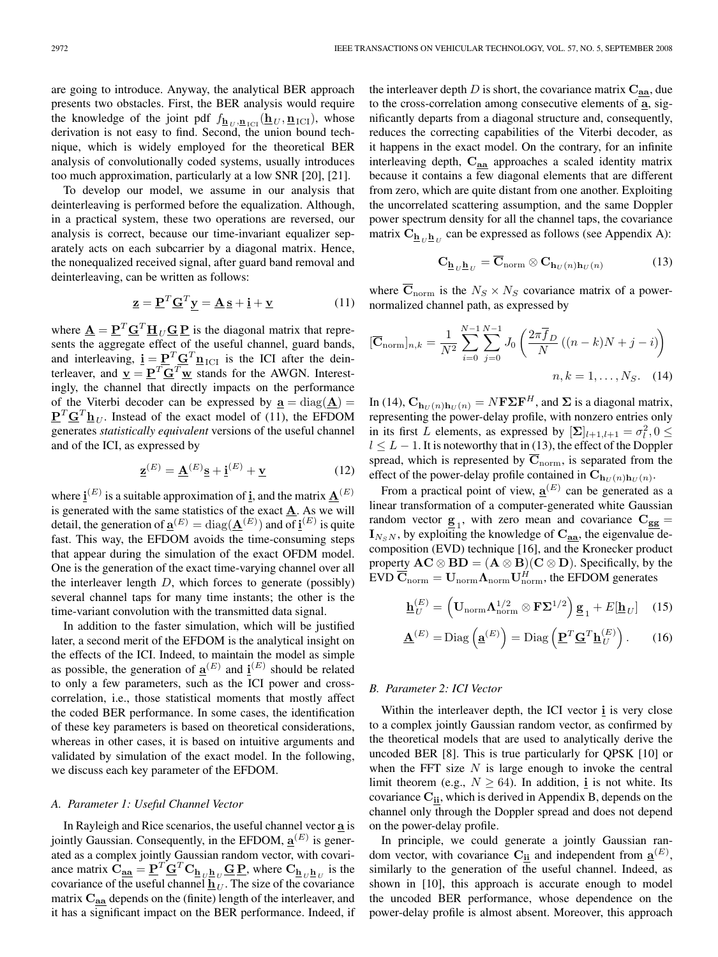are going to introduce. Anyway, the analytical BER approach presents two obstacles. First, the BER analysis would require the knowledge of the joint pdf  $f_{\mathbf{h}_U, \mathbf{n}_{\text{ICI}}}(\mathbf{h}_U, \mathbf{n}_{\text{ICI}})$ , whose derivation is not easy to find. Second, the union bound technique, which is widely employed for the theoretical BER analysis of convolutionally coded systems, usually introduces too much approximation, particularly at a low SNR [20], [21].

To develop our model, we assume in our analysis that deinterleaving is performed before the equalization. Although, in a practical system, these two operations are reversed, our analysis is correct, because our time-invariant equalizer separately acts on each subcarrier by a diagonal matrix. Hence, the nonequalized received signal, after guard band removal and deinterleaving, can be written as follows:

$$
\underline{\mathbf{z}} = \underline{\mathbf{P}}^T \underline{\mathbf{G}}^T \underline{\mathbf{y}} = \underline{\mathbf{A}} \underline{\mathbf{s}} + \underline{\mathbf{i}} + \underline{\mathbf{v}} \tag{11}
$$

where  $\mathbf{A} = \mathbf{P}^T \mathbf{G}^T \mathbf{H}_U \mathbf{G} \mathbf{P}$  is the diagonal matrix that represents the aggregate effect of the useful channel, guard bands, and interleaving,  $\mathbf{i} = \mathbf{P}^T \mathbf{G}^T \mathbf{n}_{\text{ICI}}$  is the ICI after the deinterleaver, and  $\underline{\mathbf{v}} = \underline{\mathbf{P}}^T \underline{\mathbf{G}}^T \underline{\mathbf{w}}$  stands for the AWGN. Interestingly, the channel that directly impacts on the performance of the Viterbi decoder can be expressed by  $\underline{\mathbf{a}} = \text{diag}(\underline{\mathbf{A}}) =$  ${\bf P}^T {\bf G}^T {\bf h}_{U}$ . Instead of the exact model of (11), the EFDOM generates *statistically equivalent* versions of the useful channel and of the ICI, as expressed by

$$
\underline{\mathbf{z}}^{(E)} = \underline{\mathbf{A}}^{(E)} \underline{\mathbf{s}} + \underline{\mathbf{i}}^{(E)} + \underline{\mathbf{v}} \tag{12}
$$

where  $\underline{\mathbf{i}}^{(E)}$  is a suitable approximation of  $\underline{\mathbf{i}}$ , and the matrix  $\underline{\mathbf{A}}^{(E)}$ is generated with the same statistics of the exact  $\underline{\mathbf{A}}$ . As we will detail, the generation of  $\underline{\mathbf{a}}^{(E)} = \text{diag}(\underline{\mathbf{A}}^{(E)})$  and of  $\underline{\mathbf{i}}^{(E)}$  is quite fast. This way, the EFDOM avoids the time-consuming steps that appear during the simulation of the exact OFDM model. One is the generation of the exact time-varying channel over all the interleaver length  $D$ , which forces to generate (possibly) several channel taps for many time instants; the other is the time-variant convolution with the transmitted data signal.

In addition to the faster simulation, which will be justified later, a second merit of the EFDOM is the analytical insight on the effects of the ICI. Indeed, to maintain the model as simple as possible, the generation of  $\underline{\mathbf{a}}^{(E)}$  and  $\underline{\mathbf{i}}^{(E)}$  should be related to only a few parameters, such as the ICI power and crosscorrelation, i.e., those statistical moments that mostly affect the coded BER performance. In some cases, the identification of these key parameters is based on theoretical considerations, whereas in other cases, it is based on intuitive arguments and validated by simulation of the exact model. In the following, we discuss each key parameter of the EFDOM.

# *A. Parameter 1: Useful Channel Vector*

In Rayleigh and Rice scenarios, the useful channel vector **a** is jointly Gaussian. Consequently, in the EFDOM,  $\underline{\mathbf{a}}^{(E)}$  is generated as a complex jointly Gaussian random vector, with covariance matrix  $\hat{\mathbf{C}}_{\mathbf{\underline{a}\underline{a}}} = \underline{\mathbf{P}}^T \underline{\mathbf{G}}^T \mathbf{C}_{\underline{\mathbf{h}}_U \underline{\mathbf{h}}_U} \underline{\mathbf{G}} \underline{\mathbf{P}}$ , where  $\mathbf{C}_{\underline{\mathbf{h}}_U \underline{\mathbf{h}}_U}$  is the covariance of the useful channel  $\underline{\mathbf{h}}_U$ . The size of the covariance matrix **Caa** depends on the (finite) length of the interleaver, and it has a significant impact on the BER performance. Indeed, if the interleaver depth  $D$  is short, the covariance matrix  $C_{aa}$ , due to the cross-correlation among consecutive elements of **a**, significantly departs from a diagonal structure and, consequently, reduces the correcting capabilities of the Viterbi decoder, as it happens in the exact model. On the contrary, for an infinite interleaving depth, **Caa** approaches a scaled identity matrix because it contains a few diagonal elements that are different from zero, which are quite distant from one another. Exploiting the uncorrelated scattering assumption, and the same Doppler power spectrum density for all the channel taps, the covariance matrix  $\mathbf{C}_{\mathbf{h}_{U} \mathbf{h}_{U}}$  can be expressed as follows (see Appendix A):

$$
\mathbf{C}_{\mathbf{h}_U \mathbf{h}_U} = \overline{\mathbf{C}}_{\text{norm}} \otimes \mathbf{C}_{\mathbf{h}_U(n) \mathbf{h}_U(n)}
$$
(13)

where  $\overline{C}_{norm}$  is the  $N_S \times N_S$  covariance matrix of a powernormalized channel path, as expressed by

$$
[\overline{\mathbf{C}}_{\text{norm}}]_{n,k} = \frac{1}{N^2} \sum_{i=0}^{N-1} \sum_{j=0}^{N-1} J_0 \left( \frac{2\pi \overline{f}_D}{N} \left( (n-k)N + j - i \right) \right)
$$
  

$$
n, k = 1, \dots, N_S. \quad (14)
$$

In (14),  $C_{\mathbf{h}_U(n)\mathbf{h}_U(n)} = N\mathbf{F}\Sigma\mathbf{F}^H$ , and  $\Sigma$  is a diagonal matrix, representing the power-delay profile, with nonzero entries only in its first L elements, as expressed by  $[\Sigma]_{l+1,l+1} = \sigma_l^2, 0 \leq$  $l \leq L - 1$ . It is noteworthy that in (13), the effect of the Doppler spread, which is represented by  $\overline{C}_{norm}$ , is separated from the effect of the power-delay profile contained in  $\mathbf{C}_{\mathbf{h}_{U}(n)\mathbf{h}_{U}(n)}$ .

From a practical point of view,  $\underline{\mathbf{a}}^{(E)}$  can be generated as a linear transformation of a computer-generated white Gaussian random vector  $\mathbf{g}_1$ , with zero mean and covariance  $\mathbf{C}_{gg}$  =  $\mathbf{I}_{N_sN}$ , by exploiting the knowledge of  $\mathbf{C}_{\mathbf{aa}}$ , the eigenvalue decomposition (EVD) technique [16], and the Kronecker product property  $AC \otimes BD = (A \otimes B)(C \otimes D)$ . Specifically, by the  $EVD\ \overline{\mathbf{C}}_{\text{norm}} = \mathbf{U}_{\text{norm}} \mathbf{\Lambda}_{\text{norm}} \mathbf{U}_{\text{norm}}^H$ , the EFDOM generates

$$
\underline{\mathbf{h}}_U^{(E)} = \left(\mathbf{U}_{\text{norm}} \boldsymbol{\Lambda}_{\text{norm}}^{1/2} \otimes \mathbf{F} \boldsymbol{\Sigma}^{1/2}\right) \underline{\mathbf{g}}_1 + E[\underline{\mathbf{h}}_U] \quad (15)
$$

$$
\underline{\mathbf{A}}^{(E)} = \text{Diag}\left(\underline{\mathbf{a}}^{(E)}\right) = \text{Diag}\left(\underline{\mathbf{P}}^T \underline{\mathbf{G}}^T \underline{\mathbf{h}}_U^{(E)}\right). \qquad (16)
$$

## *B. Parameter 2: ICI Vector*

Within the interleaver depth, the ICI vector **i** is very close to a complex jointly Gaussian random vector, as confirmed by the theoretical models that are used to analytically derive the uncoded BER [8]. This is true particularly for QPSK [10] or when the FFT size  $N$  is large enough to invoke the central limit theorem (e.g.,  $N \ge 64$ ). In addition, **i** is not white. Its covariance **Cii**, which is derived in Appendix B, depends on the channel only through the Doppler spread and does not depend on the power-delay profile.

In principle, we could generate a jointly Gaussian random vector, with covariance  $\mathbf{C}_{\mathbf{ii}}$  and independent from  $\underline{\mathbf{a}}^{(E)}$ , similarly to the generation of the useful channel. Indeed, as shown in [10], this approach is accurate enough to model the uncoded BER performance, whose dependence on the power-delay profile is almost absent. Moreover, this approach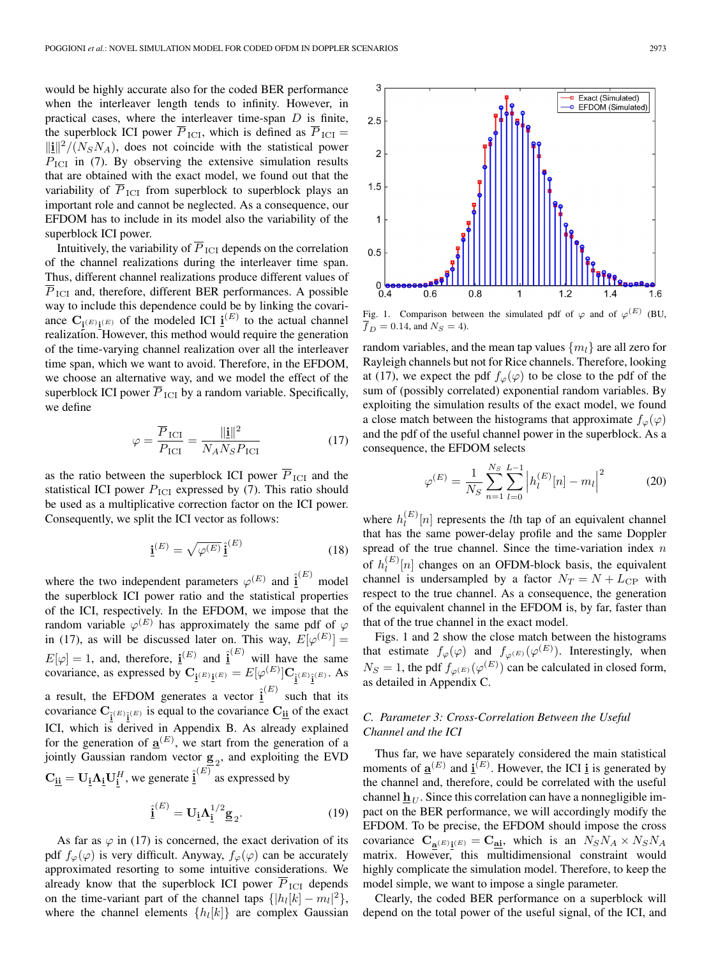would be highly accurate also for the coded BER performance when the interleaver length tends to infinity. However, in practical cases, where the interleaver time-span  $D$  is finite, the superblock ICI power  $\overline{P}_{\text{ICI}}$ , which is defined as  $\overline{P}_{\text{ICI}} =$  $\lVert \mathbf{i} \rVert^2 / (N_S N_A)$ , does not coincide with the statistical power  $P_{\text{ICI}}$  in (7). By observing the extensive simulation results that are obtained with the exact model, we found out that the variability of  $\overline{P}_{\text{ICI}}$  from superblock to superblock plays an important role and cannot be neglected. As a consequence, our EFDOM has to include in its model also the variability of the superblock ICI power.

Intuitively, the variability of  $\overline{P}_{\text{ICI}}$  depends on the correlation of the channel realizations during the interleaver time span. Thus, different channel realizations produce different values of  $\overline{P}_{\text{ICI}}$  and, therefore, different BER performances. A possible way to include this dependence could be by linking the covariance  $C_{\underline{i}^{(E)}i^{(E)}}$  of the modeled ICI  $\underline{i}^{(E)}$  to the actual channel realization. However, this method would require the generation of the time-varying channel realization over all the interleaver time span, which we want to avoid. Therefore, in the EFDOM, we choose an alternative way, and we model the effect of the superblock ICI power  $\overline{P}_{\text{ICI}}$  by a random variable. Specifically, we define

$$
\varphi = \frac{\overline{P}_{\text{ICI}}}{P_{\text{ICI}}} = \frac{\|\mathbf{i}\|^2}{N_A N_S P_{\text{ICI}}}
$$
(17)

as the ratio between the superblock ICI power  $\overline{P}_{\text{ICI}}$  and the statistical ICI power  $P_{\text{ICI}}$  expressed by (7). This ratio should be used as a multiplicative correction factor on the ICI power. Consequently, we split the ICI vector as follows:

$$
\underline{\mathbf{i}}^{(E)} = \sqrt{\varphi^{(E)}} \,\underline{\hat{\mathbf{i}}}^{(E)} \tag{18}
$$

where the two independent parameters  $\varphi^{(E)}$  and  $\hat{\mathbf{i}}^{(E)}$  model the superblock ICI power ratio and the statistical properties of the ICI, respectively. In the EFDOM, we impose that the random variable  $\varphi^{(E)}$  has approximately the same pdf of  $\varphi$ in (17), as will be discussed later on. This way,  $E[\varphi^{(E)}] =$  $E[\varphi] = 1$ , and, therefore,  $\underline{\mathbf{i}}^{(E)}$  and  $\underline{\mathbf{i}}^{(E)}$  will have the same covariance, as expressed by  $C_{\mathbf{i}^{(E)}\mathbf{i}^{(E)}} = E[\varphi^{(E)}]C_{\mathbf{i}^{(E)}\mathbf{i}^{(E)}}$ . As a result, the EFDOM generates a vector  $\hat{\mathbf{i}}^{(E)}$  such that its covariance  $C_{\hat{i}^{(E)}\hat{i}^{(E)}}$  is equal to the covariance  $C_{\underline{i}\underline{i}}$  of the exact ICI, which is derived in Appendix B. As already explained for the generation of  $\underline{\mathbf{a}}^{(E)}$ , we start from the generation of a jointly Gaussian random vector  $\mathbf{g}_2$ , and exploiting the EVD  $\mathbf{C}_{\mathbf{ii}} = \mathbf{U}_{\mathbf{i}} \mathbf{\Lambda}_{\mathbf{i}} \mathbf{U}_{\mathbf{i}}^H$ , we generate  $\hat{\mathbf{i}}^{(E)}$  as expressed by

$$
\hat{\underline{\mathbf{i}}}^{(E)} = \mathbf{U}_{\underline{\mathbf{i}}} \Lambda_{\underline{\mathbf{i}}}^{1/2} \underline{\mathbf{g}}_2.
$$
 (19)

As far as  $\varphi$  in (17) is concerned, the exact derivation of its pdf  $f_{\varphi}(\varphi)$  is very difficult. Anyway,  $f_{\varphi}(\varphi)$  can be accurately approximated resorting to some intuitive considerations. We already know that the superblock ICI power  $\overline{P}_{\text{ICI}}$  depends on the time-variant part of the channel taps  $\{|h_l[k]-m_l|^2\}$ , where the channel elements  $\{h_l[k]\}$  are complex Gaussian



Fig. 1. Comparison between the simulated pdf of  $\varphi$  and of  $\varphi^{(E)}$  (BU,  $\overline{f}_D = 0.14$ , and  $N_S = 4$ ).

random variables, and the mean tap values  $\{m_l\}$  are all zero for Rayleigh channels but not for Rice channels. Therefore, looking at (17), we expect the pdf  $f_{\varphi}(\varphi)$  to be close to the pdf of the sum of (possibly correlated) exponential random variables. By exploiting the simulation results of the exact model, we found a close match between the histograms that approximate  $f_{\varphi}(\varphi)$ and the pdf of the useful channel power in the superblock. As a consequence, the EFDOM selects

$$
\varphi^{(E)} = \frac{1}{N_S} \sum_{n=1}^{N_S} \sum_{l=0}^{L-1} \left| h_l^{(E)}[n] - m_l \right|^2 \tag{20}
$$

where  $h_l^{(E)}[n]$  represents the *l*th tap of an equivalent channel that has the same power-delay profile and the same Doppler spread of the true channel. Since the time-variation index  $n$ of  $h_l^{(E)}[n]$  changes on an OFDM-block basis, the equivalent channel is undersampled by a factor  $N_T = N + L_{\text{CP}}$  with respect to the true channel. As a consequence, the generation of the equivalent channel in the EFDOM is, by far, faster than that of the true channel in the exact model.

Figs. 1 and 2 show the close match between the histograms that estimate  $f_{\varphi}(\varphi)$  and  $f_{\varphi^{(E)}}(\varphi^{(E)})$ . Interestingly, when  $N_S = 1$ , the pdf  $f_{\varphi^{(E)}}(\varphi^{(E)})$  can be calculated in closed form, as detailed in Appendix C.

# *C. Parameter 3: Cross-Correlation Between the Useful Channel and the ICI*

Thus far, we have separately considered the main statistical moments of  $\underline{\mathbf{a}}^{(E)}$  and  $\underline{\mathbf{i}}^{(E)}$ . However, the ICI <u>i</u> is generated by the channel and, therefore, could be correlated with the useful channel  $\underline{\mathbf{h}}_U$ . Since this correlation can have a nonnegligible impact on the BER performance, we will accordingly modify the EFDOM. To be precise, the EFDOM should impose the cross covariance  $C_{\mathbf{a}^{(E)}\mathbf{i}^{(E)}} = C_{\mathbf{a}\mathbf{i}}$ , which is an  $N_S N_A \times N_S N_A$ matrix. However, this multidimensional constraint would highly complicate the simulation model. Therefore, to keep the model simple, we want to impose a single parameter.

Clearly, the coded BER performance on a superblock will depend on the total power of the useful signal, of the ICI, and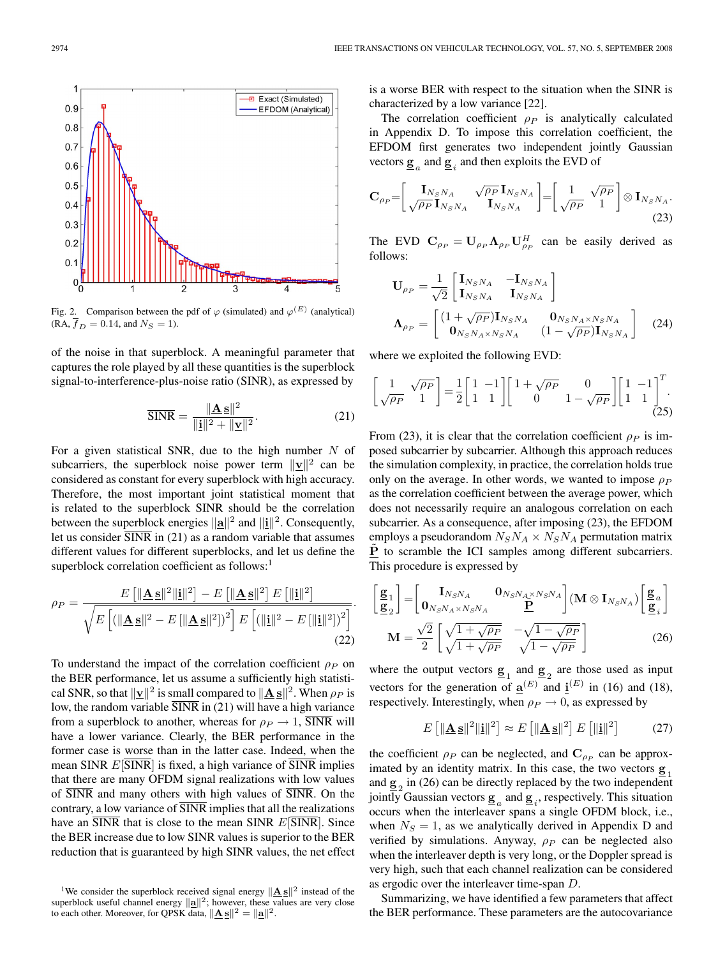

Fig. 2. Comparison between the pdf of  $\varphi$  (simulated) and  $\varphi^{(E)}$  (analytical)  $(RA, \overline{f}_D = 0.14, \text{ and } N_S = 1).$ 

of the noise in that superblock. A meaningful parameter that captures the role played by all these quantities is the superblock signal-to-interference-plus-noise ratio (SINR), as expressed by

$$
\overline{\text{SINR}} = \frac{\|\mathbf{A}\,\mathbf{s}\|^2}{\|\mathbf{i}\|^2 + \|\mathbf{y}\|^2}.
$$
 (21)

For a given statistical SNR, due to the high number  $N$  of subcarriers, the superblock noise power term  $||v||^2$  can be considered as constant for every superblock with high accuracy. Therefore, the most important joint statistical moment that is related to the superblock SINR should be the correlation between the superblock energies  $\|\mathbf{a}\|^2$  and  $\|\mathbf{i}\|^2$ . Consequently, let us consider  $\overline{SINR}$  in (21) as a random variable that assumes different values for different superblocks, and let us define the superblock correlation coefficient as follows:<sup>1</sup>

$$
\rho_P = \frac{E\left[||\mathbf{\underline{A}}\mathbf{\underline{s}}||^2||\mathbf{i}||^2\right] - E\left[||\mathbf{\underline{A}}\mathbf{\underline{s}}||^2\right]E\left[||\mathbf{i}||^2\right]}{\sqrt{E\left[{\left(||\mathbf{\underline{A}}\mathbf{\underline{s}}||^2 - E\left[||\mathbf{\underline{A}}\mathbf{\underline{s}}||^2\right]\right)^2\right]E\left[{\left(||\mathbf{i}||^2 - E\left[||\mathbf{i}||^2\right]\right)^2}\right]}}.
$$
\n(22)

To understand the impact of the correlation coefficient  $\rho_P$  on the BER performance, let us assume a sufficiently high statistical SNR, so that  $\|\mathbf{v}\|^2$  is small compared to  $\|\mathbf{A}\mathbf{s}\|^2$ . When  $\rho_P$  is low, the random variable  $\overline{SINR}$  in (21) will have a high variance from a superblock to another, whereas for  $\rho_P \rightarrow 1$ , SINR will have a lower variance. Clearly, the BER performance in the former case is worse than in the latter case. Indeed, when the mean SINR  $E[\text{SINR}]$  is fixed, a high variance of SINR implies that there are many OFDM signal realizations with low values of SINR and many others with high values of SINR. On the contrary, a low variance of SINR implies that all the realizations have an  $\overline{SINR}$  that is close to the mean  $SINR$   $E[\overline{SINR}]$ . Since the BER increase due to low SINR values is superior to the BER reduction that is guaranteed by high SINR values, the net effect is a worse BER with respect to the situation when the SINR is characterized by a low variance [22].

The correlation coefficient  $\rho_P$  is analytically calculated in Appendix D. To impose this correlation coefficient, the EFDOM first generates two independent jointly Gaussian vectors  $\underline{\mathbf{g}}_a$  and  $\underline{\mathbf{g}}_i$  and then exploits the EVD of

$$
\mathbf{C}_{\rho_P} = \begin{bmatrix} \mathbf{I}_{N_S N_A} & \sqrt{\rho_P} \mathbf{I}_{N_S N_A} \\ \sqrt{\rho_P} \mathbf{I}_{N_S N_A} & \mathbf{I}_{N_S N_A} \end{bmatrix} = \begin{bmatrix} 1 & \sqrt{\rho_P} \\ \sqrt{\rho_P} & 1 \end{bmatrix} \otimes \mathbf{I}_{N_S N_A}.
$$
\n(23)

The EVD  $C_{\rho_P} = U_{\rho_P} \Lambda_{\rho_P} U_{\rho_P}^H$  can be easily derived as follows:

$$
\mathbf{U}_{\rho_P} = \frac{1}{\sqrt{2}} \begin{bmatrix} \mathbf{I}_{N_S N_A} & -\mathbf{I}_{N_S N_A} \\ \mathbf{I}_{N_S N_A} & \mathbf{I}_{N_S N_A} \end{bmatrix}
$$

$$
\mathbf{\Lambda}_{\rho_P} = \begin{bmatrix} (1 + \sqrt{\rho_P}) \mathbf{I}_{N_S N_A} & \mathbf{0}_{N_S N_A \times N_S N_A} \\ \mathbf{0}_{N_S N_A \times N_S N_A} & (1 - \sqrt{\rho_P}) \mathbf{I}_{N_S N_A} \end{bmatrix} \quad (24)
$$

where we exploited the following EVD:

$$
\left[\begin{array}{cc} 1 & \sqrt{\rho_P} \\ \sqrt{\rho_P} & 1 \end{array}\right] = \frac{1}{2} \left[\begin{array}{cc} 1 & -1 \\ 1 & 1 \end{array}\right] \left[\begin{array}{cc} 1 + \sqrt{\rho_P} & 0 \\ 0 & 1 - \sqrt{\rho_P} \end{array}\right] \left[\begin{array}{cc} 1 & -1 \\ 1 & 1 \end{array}\right]^T. \tag{25}
$$

From (23), it is clear that the correlation coefficient  $\rho_P$  is imposed subcarrier by subcarrier. Although this approach reduces the simulation complexity, in practice, the correlation holds true only on the average. In other words, we wanted to impose  $\rho_P$ as the correlation coefficient between the average power, which does not necessarily require an analogous correlation on each subcarrier. As a consequence, after imposing (23), the EFDOM employs a pseudorandom  $N_S N_A \times N_S N_A$  permutation matrix **P** to scramble the ICI samples among different subcarriers. This procedure is expressed by

$$
\begin{bmatrix} \underline{\mathbf{g}}_1 \\ \underline{\mathbf{g}}_2 \end{bmatrix} = \begin{bmatrix} \mathbf{I}_{N_S N_A} & \mathbf{0}_{N_S N_A \times N_S N_A} \\ \mathbf{0}_{N_S N_A \times N_S N_A} & \underline{\mathbf{P}} \end{bmatrix} (\mathbf{M} \otimes \mathbf{I}_{N_S N_A}) \begin{bmatrix} \underline{\mathbf{g}}_a \\ \underline{\mathbf{g}}_i \end{bmatrix}
$$

$$
\mathbf{M} = \frac{\sqrt{2}}{2} \begin{bmatrix} \sqrt{1 + \sqrt{\rho_P}} & -\sqrt{1 - \sqrt{\rho_P}} \\ \sqrt{1 + \sqrt{\rho_P}} & \sqrt{1 - \sqrt{\rho_P}} \end{bmatrix}
$$
(26)

where the output vectors  $\mathbf{g}_1$  and  $\mathbf{g}_2$  are those used as input vectors for the generation of  $\underline{\mathbf{a}}^{(E)}$  and  $\underline{\mathbf{i}}^{(E)}$  in (16) and (18), respectively. Interestingly, when  $\rho_P \rightarrow 0$ , as expressed by

$$
E\left[\|\mathbf{\underline{A}}\,\mathbf{\underline{s}}\|^2\|\mathbf{\underline{i}}\|^2\right] \approx E\left[\|\mathbf{\underline{A}}\,\mathbf{\underline{s}}\|^2\right]E\left[\|\mathbf{\underline{i}}\|^2\right] \tag{27}
$$

the coefficient  $\rho_P$  can be neglected, and  $\mathbf{C}_{\rho_P}$  can be approximated by an identity matrix. In this case, the two vectors  $\mathbf{g}_1$ and  $\underline{\mathbf{g}}_2$  in (26) can be directly replaced by the two independent jointly Gaussian vectors  $\underline{\mathbf{g}}_a$  and  $\underline{\mathbf{g}}_i$ , respectively. This situation occurs when the interleaver spans a single OFDM block, i.e., when  $N<sub>S</sub> = 1$ , as we analytically derived in Appendix D and verified by simulations. Anyway,  $\rho_P$  can be neglected also when the interleaver depth is very long, or the Doppler spread is very high, such that each channel realization can be considered as ergodic over the interleaver time-span D.

Summarizing, we have identified a few parameters that affect the BER performance. These parameters are the autocovariance

<sup>&</sup>lt;sup>1</sup>We consider the superblock received signal energy  $||\underline{\mathbf{A}}\underline{\mathbf{s}}||^2$  instead of the superblock useful channel energy  $\|\mathbf{a}\|^2$ ; however, these values are very close to each other. Moreover, for QPSK data,  $\|\mathbf{A}\mathbf{s}\|^2 = \|\mathbf{a}\|^2$ .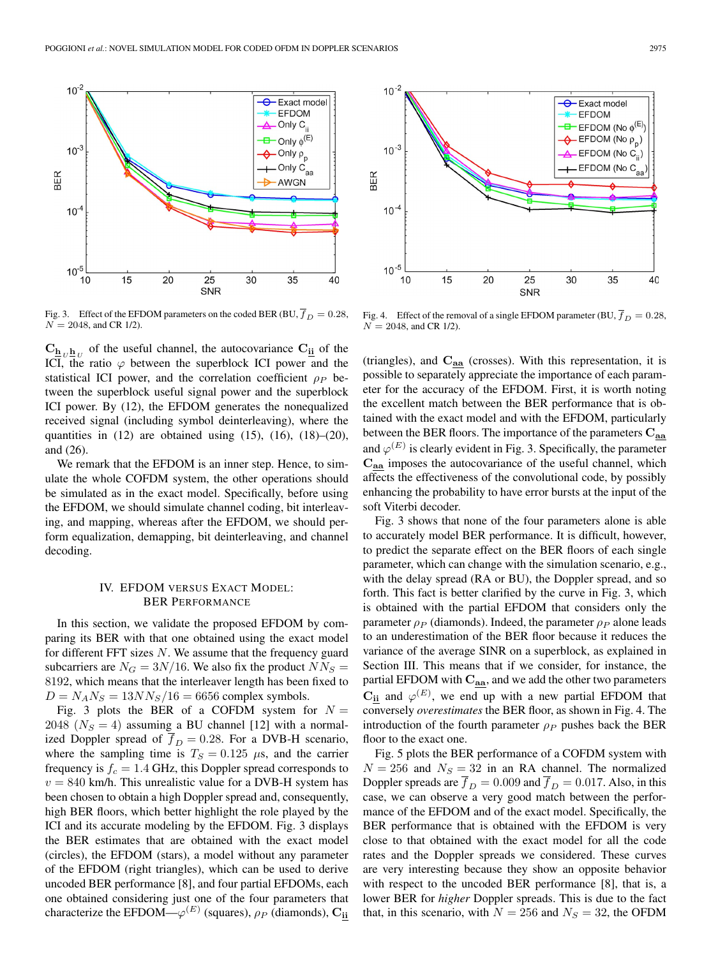

Fig. 3. Effect of the EFDOM parameters on the coded BER (BU,  $\overline{f}_D = 0.28$ ,  $N = 2048$ , and CR 1/2).

 $\mathbf{C}_{\mathbf{h}_U \mathbf{h}_U}$  of the useful channel, the autocovariance  $\mathbf{C}_{\mathbf{h}}$  of the ICI, the ratio  $\varphi$  between the superblock ICI power and the statistical ICI power, and the correlation coefficient  $\rho_P$  between the superblock useful signal power and the superblock ICI power. By (12), the EFDOM generates the nonequalized received signal (including symbol deinterleaving), where the quantities in  $(12)$  are obtained using  $(15)$ ,  $(16)$ ,  $(18)$ – $(20)$ , and (26).

We remark that the EFDOM is an inner step. Hence, to simulate the whole COFDM system, the other operations should be simulated as in the exact model. Specifically, before using the EFDOM, we should simulate channel coding, bit interleaving, and mapping, whereas after the EFDOM, we should perform equalization, demapping, bit deinterleaving, and channel decoding.

# IV. EFDOM VERSUS EXACT MODEL: BER PERFORMANCE

In this section, we validate the proposed EFDOM by comparing its BER with that one obtained using the exact model for different FFT sizes  $N$ . We assume that the frequency guard subcarriers are  $N_G = 3N/16$ . We also fix the product  $NN_S =$ 8192, which means that the interleaver length has been fixed to  $D = N_A N_S = 13 N N_S / 16 = 6656$  complex symbols.

Fig. 3 plots the BER of a COFDM system for  $N =$ 2048 ( $N<sub>S</sub> = 4$ ) assuming a BU channel [12] with a normalized Doppler spread of  $\overline{f}_D = 0.28$ . For a DVB-H scenario, where the sampling time is  $T<sub>S</sub> = 0.125 \mu s$ , and the carrier frequency is  $f_c = 1.4$  GHz, this Doppler spread corresponds to  $v = 840$  km/h. This unrealistic value for a DVB-H system has been chosen to obtain a high Doppler spread and, consequently, high BER floors, which better highlight the role played by the ICI and its accurate modeling by the EFDOM. Fig. 3 displays the BER estimates that are obtained with the exact model (circles), the EFDOM (stars), a model without any parameter of the EFDOM (right triangles), which can be used to derive uncoded BER performance [8], and four partial EFDOMs, each one obtained considering just one of the four parameters that characterize the EFDOM— $\varphi^{(E)}$  (squares),  $\rho_P$  (diamonds),  $\mathbf{C}_{ii}$ 



Fig. 4. Effect of the removal of a single EFDOM parameter (BU,  $\overline{f}_D = 0.28$ ,  $N = 2048$ , and CR 1/2).

(triangles), and **Caa** (crosses). With this representation, it is possible to separately appreciate the importance of each parameter for the accuracy of the EFDOM. First, it is worth noting the excellent match between the BER performance that is obtained with the exact model and with the EFDOM, particularly between the BER floors. The importance of the parameters **Caa** and  $\varphi^{(E)}$  is clearly evident in Fig. 3. Specifically, the parameter **Caa** imposes the autocovariance of the useful channel, which affects the effectiveness of the convolutional code, by possibly enhancing the probability to have error bursts at the input of the soft Viterbi decoder.

Fig. 3 shows that none of the four parameters alone is able to accurately model BER performance. It is difficult, however, to predict the separate effect on the BER floors of each single parameter, which can change with the simulation scenario, e.g., with the delay spread (RA or BU), the Doppler spread, and so forth. This fact is better clarified by the curve in Fig. 3, which is obtained with the partial EFDOM that considers only the parameter  $\rho_P$  (diamonds). Indeed, the parameter  $\rho_P$  alone leads to an underestimation of the BER floor because it reduces the variance of the average SINR on a superblock, as explained in Section III. This means that if we consider, for instance, the partial EFDOM with **Caa**, and we add the other two parameters  $\mathbf{C}_{\mathbf{ii}}$  and  $\varphi^{(E)}$ , we end up with a new partial EFDOM that conversely *overestimates* the BER floor, as shown in Fig. 4. The introduction of the fourth parameter  $\rho_P$  pushes back the BER floor to the exact one.

Fig. 5 plots the BER performance of a COFDM system with  $N = 256$  and  $N_S = 32$  in an RA channel. The normalized Doppler spreads are  $\overline{f}_D = 0.009$  and  $\overline{f}_D = 0.017$ . Also, in this case, we can observe a very good match between the performance of the EFDOM and of the exact model. Specifically, the BER performance that is obtained with the EFDOM is very close to that obtained with the exact model for all the code rates and the Doppler spreads we considered. These curves are very interesting because they show an opposite behavior with respect to the uncoded BER performance [8], that is, a lower BER for *higher* Doppler spreads. This is due to the fact that, in this scenario, with  $N = 256$  and  $N<sub>S</sub> = 32$ , the OFDM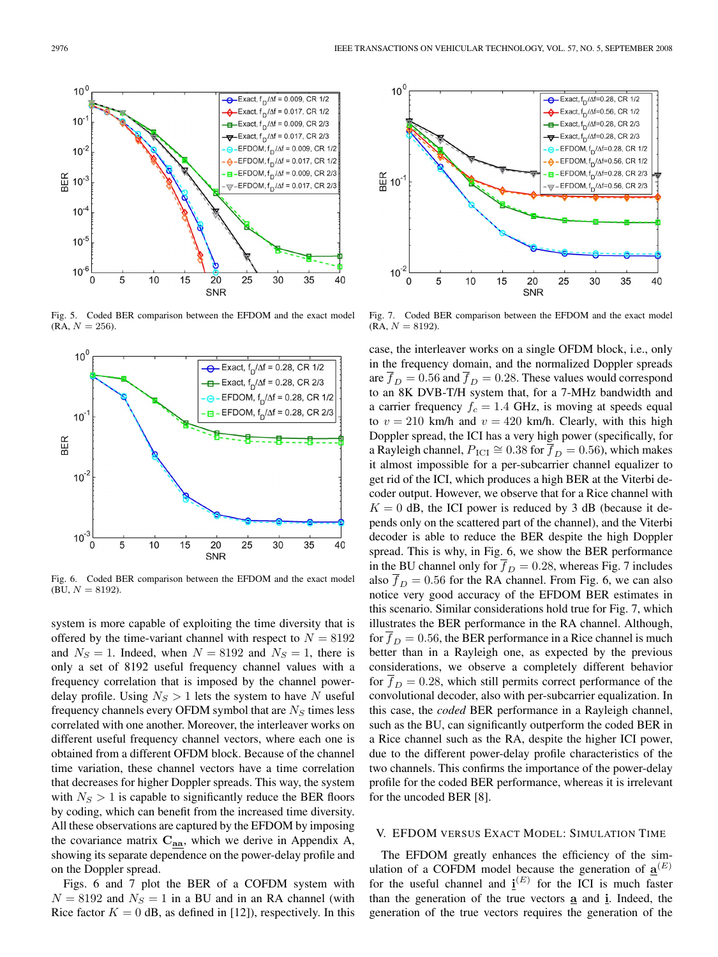$10<sup>0</sup>$  $\overline{\text{e}}$ -Exact,  $f_D/\Delta f = 0.009$ , CR 1/2 Exact,  $f_D/\Delta f = 0.017$ , CR 1/2  $10<sup>°</sup>$  $\frac{1}{2}$  Exact, f<sub>D</sub>/ $\Delta f = 0.009$ , CR 2/3 Exact,  $f_D / \Delta f = 0.017$ , CR 2/3  $10^{-2}$ EFDOM,  $f_D/\Delta f = 0.009$ , CR 1/2  $\triangle$ -EFDOM,  $f_D/\Delta f = 0.017$ , CR 1/2  $\overline{B}$  – EFDOM,  $f_D/\Delta f = 0.009$ , CR 2/3  $\frac{6}{20}$  10<sup>-3</sup>  $\sqrt{\ }$ -EFDOM, f<sub>n</sub>/ $\Delta$ f = 0.017, CR 2/3  $10^{-4}$  $10^{-5}$  $10^{-6}$ 5 10 15 20 25 30 35 40  $\Omega$ SNR

Fig. 5. Coded BER comparison between the EFDOM and the exact model  $(RA, N = 256)$ .



Fig. 6. Coded BER comparison between the EFDOM and the exact model  $(BU, N = 8192)$ .

system is more capable of exploiting the time diversity that is offered by the time-variant channel with respect to  $N = 8192$ and  $N_S = 1$ . Indeed, when  $N = 8192$  and  $N_S = 1$ , there is only a set of 8192 useful frequency channel values with a frequency correlation that is imposed by the channel powerdelay profile. Using  $N_S > 1$  lets the system to have N useful frequency channels every OFDM symbol that are  $N<sub>S</sub>$  times less correlated with one another. Moreover, the interleaver works on different useful frequency channel vectors, where each one is obtained from a different OFDM block. Because of the channel time variation, these channel vectors have a time correlation that decreases for higher Doppler spreads. This way, the system with  $N<sub>S</sub> > 1$  is capable to significantly reduce the BER floors by coding, which can benefit from the increased time diversity. All these observations are captured by the EFDOM by imposing the covariance matrix **Caa**, which we derive in Appendix A, showing its separate dependence on the power-delay profile and on the Doppler spread.

Figs. 6 and 7 plot the BER of a COFDM system with  $N = 8192$  and  $N<sub>S</sub> = 1$  in a BU and in an RA channel (with Rice factor  $K = 0$  dB, as defined in [12]), respectively. In this



Fig. 7. Coded BER comparison between the EFDOM and the exact model  $(RA, N = 8192)$ .

case, the interleaver works on a single OFDM block, i.e., only in the frequency domain, and the normalized Doppler spreads are  $\overline{f}_D = 0.56$  and  $\overline{f}_D = 0.28$ . These values would correspond to an 8K DVB-T/H system that, for a 7-MHz bandwidth and a carrier frequency  $f_c = 1.4$  GHz, is moving at speeds equal to  $v = 210$  km/h and  $v = 420$  km/h. Clearly, with this high Doppler spread, the ICI has a very high power (specifically, for a Rayleigh channel,  $P_{\text{ICI}} \cong 0.38$  for  $\overline{f}_D = 0.56$ ), which makes it almost impossible for a per-subcarrier channel equalizer to get rid of the ICI, which produces a high BER at the Viterbi decoder output. However, we observe that for a Rice channel with  $K = 0$  dB, the ICI power is reduced by 3 dB (because it depends only on the scattered part of the channel), and the Viterbi decoder is able to reduce the BER despite the high Doppler spread. This is why, in Fig. 6, we show the BER performance in the BU channel only for  $\overline{f}_D = 0.28$ , whereas Fig. 7 includes also  $f_D = 0.56$  for the RA channel. From Fig. 6, we can also notice very good accuracy of the EFDOM BER estimates in this scenario. Similar considerations hold true for Fig. 7, which illustrates the BER performance in the RA channel. Although, for  $\overline{f}_D = 0.56$ , the BER performance in a Rice channel is much better than in a Rayleigh one, as expected by the previous considerations, we observe a completely different behavior for  $f_D = 0.28$ , which still permits correct performance of the convolutional decoder, also with per-subcarrier equalization. In this case, the *coded* BER performance in a Rayleigh channel, such as the BU, can significantly outperform the coded BER in a Rice channel such as the RA, despite the higher ICI power, due to the different power-delay profile characteristics of the two channels. This confirms the importance of the power-delay profile for the coded BER performance, whereas it is irrelevant for the uncoded BER [8].

## V. EFDOM VERSUS EXACT MODEL: SIMULATION TIME

The EFDOM greatly enhances the efficiency of the simulation of a COFDM model because the generation of  $\underline{\mathbf{a}}^{(E)}$ for the useful channel and  $\underline{i}^{(E)}$  for the ICI is much faster than the generation of the true vectors **a** and **i**. Indeed, the generation of the true vectors requires the generation of the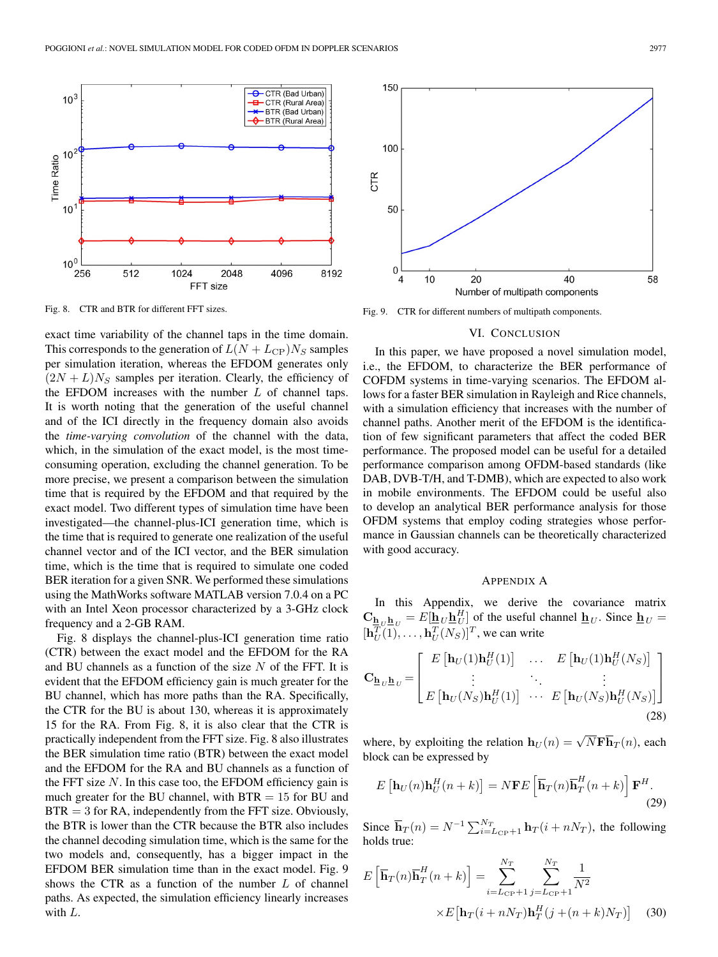

Fig. 8. CTR and BTR for different FFT sizes.

exact time variability of the channel taps in the time domain. This corresponds to the generation of  $L(N + L_{\text{CP}})N_S$  samples per simulation iteration, whereas the EFDOM generates only  $(2N + L)N<sub>S</sub>$  samples per iteration. Clearly, the efficiency of the EFDOM increases with the number  $L$  of channel taps. It is worth noting that the generation of the useful channel and of the ICI directly in the frequency domain also avoids the *time-varying convolution* of the channel with the data, which, in the simulation of the exact model, is the most timeconsuming operation, excluding the channel generation. To be more precise, we present a comparison between the simulation time that is required by the EFDOM and that required by the exact model. Two different types of simulation time have been investigated—the channel-plus-ICI generation time, which is the time that is required to generate one realization of the useful channel vector and of the ICI vector, and the BER simulation time, which is the time that is required to simulate one coded BER iteration for a given SNR. We performed these simulations using the MathWorks software MATLAB version 7.0.4 on a PC with an Intel Xeon processor characterized by a 3-GHz clock frequency and a 2-GB RAM.

Fig. 8 displays the channel-plus-ICI generation time ratio (CTR) between the exact model and the EFDOM for the RA and BU channels as a function of the size  $N$  of the FFT. It is evident that the EFDOM efficiency gain is much greater for the BU channel, which has more paths than the RA. Specifically, the CTR for the BU is about 130, whereas it is approximately 15 for the RA. From Fig. 8, it is also clear that the CTR is practically independent from the FFT size. Fig. 8 also illustrates the BER simulation time ratio (BTR) between the exact model and the EFDOM for the RA and BU channels as a function of the FFT size  $N$ . In this case too, the EFDOM efficiency gain is much greater for the BU channel, with  $BTR = 15$  for BU and  $BTR = 3$  for RA, independently from the FFT size. Obviously, the BTR is lower than the CTR because the BTR also includes the channel decoding simulation time, which is the same for the two models and, consequently, has a bigger impact in the EFDOM BER simulation time than in the exact model. Fig. 9 shows the CTR as a function of the number  $L$  of channel paths. As expected, the simulation efficiency linearly increases with L.



Fig. 9. CTR for different numbers of multipath components.

## VI. CONCLUSION

In this paper, we have proposed a novel simulation model, i.e., the EFDOM, to characterize the BER performance of COFDM systems in time-varying scenarios. The EFDOM allows for a faster BER simulation in Rayleigh and Rice channels, with a simulation efficiency that increases with the number of channel paths. Another merit of the EFDOM is the identification of few significant parameters that affect the coded BER performance. The proposed model can be useful for a detailed performance comparison among OFDM-based standards (like DAB, DVB-T/H, and T-DMB), which are expected to also work in mobile environments. The EFDOM could be useful also to develop an analytical BER performance analysis for those OFDM systems that employ coding strategies whose performance in Gaussian channels can be theoretically characterized with good accuracy.

## APPENDIX A

In this Appendix, we derive the covariance matrix  $\mathbf{C}_{\underline{\mathbf{h}}_U \underline{\mathbf{h}}_U} = E[\underline{\mathbf{h}}_U \underline{\mathbf{h}}_U^H]$  of the useful channel  $\underline{\mathbf{h}}_U$ . Since  $\underline{\mathbf{h}}_U =$  $[\mathbf{h}_U^T(1), \dots, \mathbf{h}_U^T(N_S)]^T$ , we can write

$$
\mathbf{C}_{\mathbf{h}_U \mathbf{h}_U} = \begin{bmatrix} E\left[\mathbf{h}_U(1)\mathbf{h}_U^H(1)\right] & \dots & E\left[\mathbf{h}_U(1)\mathbf{h}_U^H(N_S)\right] \\ \vdots & \ddots & \vdots \\ E\left[\mathbf{h}_U(N_S)\mathbf{h}_U^H(1)\right] & \dots & E\left[\mathbf{h}_U(N_S)\mathbf{h}_U^H(N_S)\right] \end{bmatrix}
$$
\n(28)

where, by exploiting the relation  $\mathbf{h}_U(n) = \sqrt{N} \mathbf{F} \overline{\mathbf{h}}_T(n)$ , each block can be expressed by

$$
E\left[\mathbf{h}_U(n)\mathbf{h}_U^H(n+k)\right] = N\mathbf{F}E\left[\overline{\mathbf{h}}_T(n)\overline{\mathbf{h}}_T^H(n+k)\right]\mathbf{F}^H.
$$
\n(29)

Since  $\overline{\mathbf{h}}_T(n) = N^{-1} \sum_{i=L_{\text{CP}}+1}^{N_T} \mathbf{h}_T(i+nN_T)$ , the following holds true:

$$
E\left[\overline{\mathbf{h}}_{T}(n)\overline{\mathbf{h}}_{T}^{H}(n+k)\right] = \sum_{i=L_{\text{CP}}+1}^{N_{T}} \sum_{j=L_{\text{CP}}+1}^{N_{T}} \frac{1}{N^{2}}
$$

$$
\times E\left[\mathbf{h}_{T}(i+nN_{T})\mathbf{h}_{T}^{H}(j+(n+k)N_{T})\right]
$$
(30)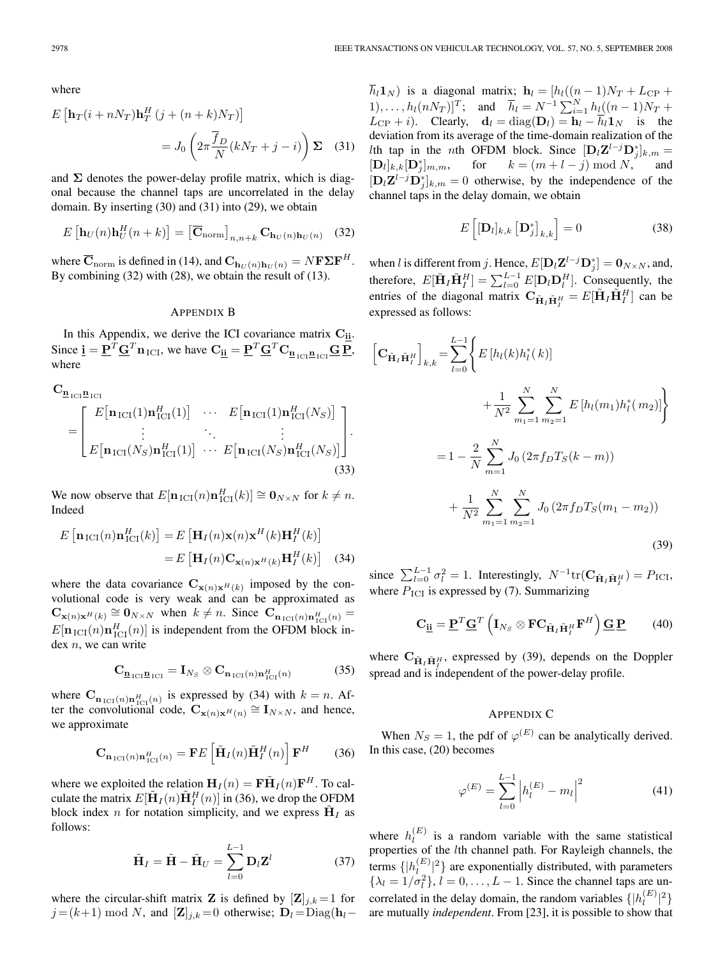where

$$
E\left[\mathbf{h}_T(i+nN_T)\mathbf{h}_T^H(j+(n+k)N_T)\right]
$$

$$
=J_0\left(2\pi\frac{\overline{f}_D}{N}(kN_T+j-i)\right)\mathbf{\Sigma}
$$
 (31)

and  $\Sigma$  denotes the power-delay profile matrix, which is diagonal because the channel taps are uncorrelated in the delay domain. By inserting (30) and (31) into (29), we obtain

$$
E\left[\mathbf{h}_U(n)\mathbf{h}_U^H(n+k)\right] = \left[\overline{\mathbf{C}}_{\text{norm}}\right]_{n,n+k} \mathbf{C}_{\mathbf{h}_U(n)\mathbf{h}_U(n)} \quad (32)
$$

where  $\mathbf{C}_{\text{norm}}$  is defined in (14), and  $\mathbf{C}_{\mathbf{h}_U(n)\mathbf{h}_U(n)} = N\mathbf{F}\mathbf{\Sigma}\mathbf{F}^H$ . By combining (32) with (28), we obtain the result of (13).

## APPENDIX B

In this Appendix, we derive the ICI covariance matrix  $C_{\underline{i}\underline{i}}$ . Since  $\mathbf{i} = \mathbf{P}^T \mathbf{G}^T \mathbf{n}_{\text{ICI}}$ , we have  $\mathbf{C}_{\mathbf{i}\mathbf{i}} = \mathbf{P}^T \mathbf{G}^T \mathbf{C}_{\mathbf{n}_{\text{ICI}} \mathbf{n}_{\text{ICI}}} \mathbf{G} \mathbf{P}$ , where

$$
\mathbf{C}_{\mathbf{\underline{n}}_{\text{ICI}}} \mathbf{E}[\mathbf{n}_{\text{ICI}}(1)\mathbf{n}_{\text{ICI}}^H(1)] \cdots E[\mathbf{n}_{\text{ICI}}(1)\mathbf{n}_{\text{ICI}}^H(N_S)]
$$
\n
$$
= \begin{bmatrix} E[\mathbf{n}_{\text{ICI}}(1)\mathbf{n}_{\text{ICI}}^H(1)] & \cdots & E[\mathbf{n}_{\text{ICI}}(N_S)\mathbf{n}_{\text{ICI}}^H(N_S)] \\ \vdots & \ddots & \vdots \\ E[\mathbf{n}_{\text{ICI}}(N_S)\mathbf{n}_{\text{ICI}}^H(1)] & \cdots & E[\mathbf{n}_{\text{ICI}}(N_S)\mathbf{n}_{\text{ICI}}^H(N_S)] \end{bmatrix} .
$$
\n(33)

We now observe that  $E[\mathbf{n}_{\text{ICI}}(n)\mathbf{n}_{\text{ICI}}^H(k)] \cong \mathbf{0}_{N \times N}$  for  $k \neq n$ . Indeed

$$
E\left[\mathbf{n}_{\text{ICI}}(n)\mathbf{n}_{\text{ICI}}^{H}(k)\right] = E\left[\mathbf{H}_{I}(n)\mathbf{x}(n)\mathbf{x}^{H}(k)\mathbf{H}_{I}^{H}(k)\right]
$$

$$
= E\left[\mathbf{H}_{I}(n)\mathbf{C}_{\mathbf{x}(n)\mathbf{x}^{H}(k)}\mathbf{H}_{I}^{H}(k)\right] \quad (34)
$$

where the data covariance  $C_{\mathbf{x}(n)\mathbf{x}^H(k)}$  imposed by the convolutional code is very weak and can be approximated as  $\mathbf{C}_{\mathbf{x}(n)\mathbf{x}^H(k)} \cong \mathbf{0}_{N \times N}$  when  $k \neq n$ . Since  $\mathbf{C}_{\mathbf{n}_{\text{ICI}}(n)\mathbf{n}_{\text{ICI}}^H(n)} =$  $E[\mathbf{n}_{\text{ICI}}(n)\mathbf{n}_{\text{ICI}}^H(n)]$  is independent from the OFDM block index  $n$ , we can write

$$
\mathbf{C}_{\underline{\mathbf{n}}_{\mathrm{ICI}}\underline{\mathbf{n}}_{\mathrm{ICI}}} = \mathbf{I}_{N_S} \otimes \mathbf{C}_{\mathbf{n}_{\mathrm{ICI}}(n)\mathbf{n}_{\mathrm{ICI}}^H(n)} \tag{35}
$$

where  $\mathbf{C}_{\mathbf{n}_{\text{ICI}}(n)\mathbf{n}_{\text{ICI}}^H(n)}$  is expressed by (34) with  $k = n$ . After the convolutional code,  $\mathbf{C}_{\mathbf{x}(n)\mathbf{x}^H(n)} \cong \mathbf{I}_{N\times N}$ , and hence, we approximate

$$
\mathbf{C}_{\mathbf{n}_{\text{ICI}}(n)\mathbf{n}_{\text{ICI}}^H(n)} = \mathbf{F}E\left[\tilde{\mathbf{H}}_I(n)\tilde{\mathbf{H}}_I^H(n)\right]\mathbf{F}^H \qquad (36)
$$

where we exploited the relation  $\mathbf{H}_I(n) = \mathbf{F} \tilde{\mathbf{H}}_I(n) \mathbf{F}^H$ . To calculate the matrix  $E[\tilde{\mathbf{H}}_I(n)\tilde{\mathbf{H}}_I^H(n)]$  in (36), we drop the OFDM block index n for notation simplicity, and we express  $H_I$  as follows:

$$
\tilde{\mathbf{H}}_I = \tilde{\mathbf{H}} - \tilde{\mathbf{H}}_U = \sum_{l=0}^{L-1} \mathbf{D}_l \mathbf{Z}^l
$$
 (37)

where the circular-shift matrix **Z** is defined by  $[\mathbf{Z}]_{i,k} = 1$  for  $j = (k+1) \text{ mod } N$ , and  $[\mathbf{Z}]_{j,k} = 0$  otherwise;  $\mathbf{D}_l = \text{Diag}(\mathbf{h}_l −$ 

 $\overline{h}_l$ **1**<sub>N</sub>) is a diagonal matrix;  $\mathbf{h}_l = [h_l((n-1)N_T + L_{\text{CP}} +$ 1),..., $h_l(nN_T)]^T$ ; and  $\bar{h}_l = N^{-1} \sum_{i=1}^N h_l((n-1)N_T +$  $L_{\text{CP}} + i$ ). Clearly,  $\mathbf{d}_l = \text{diag}(\mathbf{D}_l) = \mathbf{h}_l - \overline{h}_l \mathbf{1}_N$  is the deviation from its average of the time-domain realization of the lth tap in the nth OFDM block. Since  $[D_l \mathbf{Z}^{l-j} \mathbf{D}_j^*]_{k,m} =$  $[\mathbf{D}_l]_{k,k}[\mathbf{D}_j^*]_{m,m},$ for  $k = (m + l - j) \bmod N$ ,  $[\mathbf{D}_l \mathbf{Z}^{l-j} \mathbf{D}_j^*]_{k,m} = 0$  otherwise, by the independence of the channel taps in the delay domain, we obtain

$$
E\left[\left[\mathbf{D}_{l}\right]_{k,k}\left[\mathbf{D}_{j}^{*}\right]_{k,k}\right] = 0\tag{38}
$$

when l is different from j. Hence,  $E[\mathbf{D}_l \mathbf{Z}^{l-j} \mathbf{D}_j^*] = \mathbf{0}_{N \times N}$ , and, therefore,  $E[\tilde{\mathbf{H}}_I \tilde{\mathbf{H}}_I^H] = \sum_{l=0}^{L-1} E[\mathbf{D}_l \mathbf{D}_l^H]$ . Consequently, the entries of the diagonal matrix  $\mathbf{C}_{\tilde{\mathbf{H}}_I \tilde{\mathbf{H}}_I^H} = E[\tilde{\mathbf{H}}_I \tilde{\mathbf{H}}_I^H]$  can be expressed as follows:

$$
\begin{aligned}\n\left[\mathbf{C}_{\tilde{\mathbf{H}}_{I}}\tilde{\mathbf{H}}_{I}^{H}\right]_{k,k} &= \sum_{l=0}^{L-1} \left\{ E\left[h_{l}(k)h_{l}^{*}(k)\right] \right. \\
&\quad \left. + \frac{1}{N^{2}} \sum_{m_{1}=1}^{N} \sum_{m_{2}=1}^{N} E\left[h_{l}(m_{1})h_{l}^{*}(m_{2})\right] \right\} \\
&= 1 - \frac{2}{N} \sum_{m=1}^{N} J_{0}\left(2\pi f_{D}T_{S}(k-m)\right) \\
&\quad \left. + \frac{1}{N^{2}} \sum_{m_{1}=1}^{N} \sum_{m_{2}=1}^{N} J_{0}\left(2\pi f_{D}T_{S}(m_{1}-m_{2})\right)\right.\n\end{aligned} \tag{39}
$$

since  $\sum_{l=0}^{L-1} \sigma_l^2 = 1$ . Interestingly,  $N^{-1} \text{tr}(\mathbf{C}_{\tilde{\mathbf{H}}_I \tilde{\mathbf{H}}_I^H}) = P_{\text{ICI}}$ , where  $P_{\text{ICI}}$  is expressed by (7). Summarizing

$$
\mathbf{C}_{\underline{\mathbf{i}}\underline{\mathbf{i}}} = \underline{\mathbf{P}}^T \underline{\mathbf{G}}^T \left( \mathbf{I}_{N_S} \otimes \mathbf{F} \mathbf{C}_{\tilde{\mathbf{H}}_I \tilde{\mathbf{H}}_I^H} \mathbf{F}^H \right) \underline{\mathbf{G}} \underline{\mathbf{P}} \tag{40}
$$

where  $\mathbf{C}_{\tilde{\mathbf{H}}_I \tilde{\mathbf{H}}_I^H}$ , expressed by (39), depends on the Doppler spread and is independent of the power-delay profile.

## APPENDIX C

When  $N_S = 1$ , the pdf of  $\varphi^{(E)}$  can be analytically derived. In this case, (20) becomes

$$
\varphi^{(E)} = \sum_{l=0}^{L-1} \left| h_l^{(E)} - m_l \right|^2 \tag{41}
$$

where  $h_l^{(E)}$  is a random variable with the same statistical properties of the lth channel path. For Rayleigh channels, the terms  $\{|h_l^{(E)}|^2\}$  are exponentially distributed, with parameters  $\{\lambda_l = 1/\sigma_l^2\}, l = 0, \dots, L-1$ . Since the channel taps are uncorrelated in the delay domain, the random variables  $\{|h_l^{(E)}|^2\}$ are mutually *independent*. From [23], it is possible to show that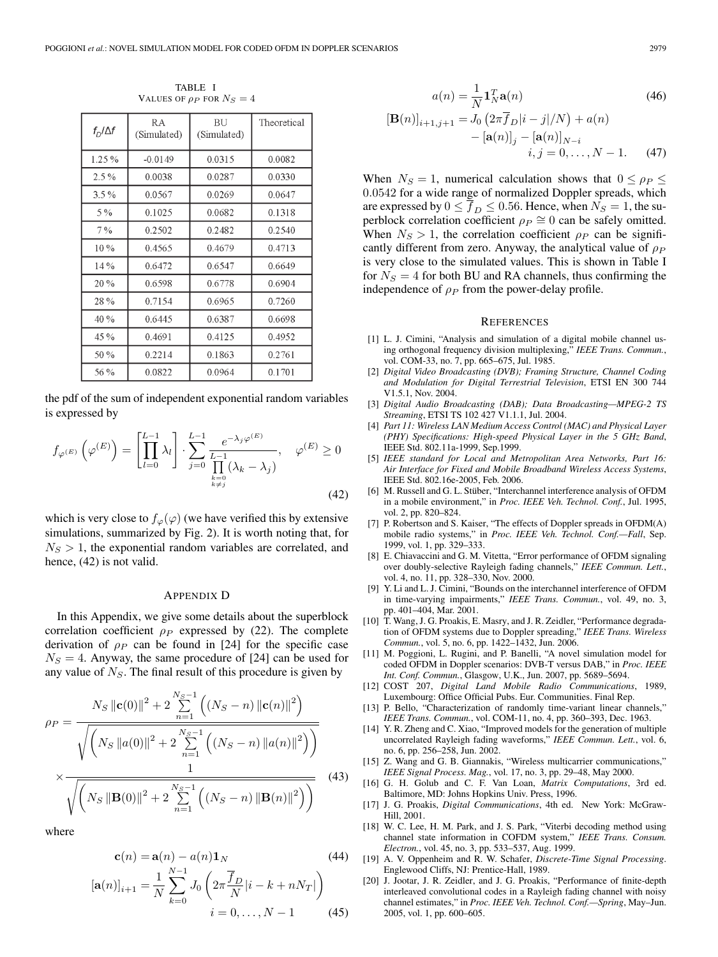| $f_D/\Delta f$ | R A<br>(Simulated) | -BU<br>(Simulated) | Theoretical |
|----------------|--------------------|--------------------|-------------|
| 1.25%          | $-0.0149$          | 0.0315             | 0.0082      |
| 2.5%           | 0.0038             | 0.0287             | 0.0330      |
| $3.5\%$        | 0.0567             | 0.0269             | 0.0647      |
| 5 %            | 0.1025             | 0.0682             | 0.1318      |
| 7%             | 0.2502             | 0.2482             | 0.2540      |
| 10%            | 0.4565             | 0.4679             | 0.4713      |
| 14 %           | 0.6472             | 0.6547             | 0.6649      |
| 20%            | 0.6598             | 0.6778             | 0.6904      |
| 28%            | 0.7154             | 0.6965             | 0.7260      |
| 40 %           | 0.6445             | 0.6387             | 0.6698      |
| 45 %           | 0.4691             | 0.4125             | 0.4952      |
| 50 %           | 0.2214             | 0.1863             | 0.2761      |
| 56 %           | 0.0822             | 0.0964             | 0.1701      |

TABLE I VALUES OF  $\rho_P$  for  $N_S = 4$ 

the pdf of the sum of independent exponential random variables is expressed by

$$
f_{\varphi^{(E)}}\left(\varphi^{(E)}\right) = \left[\prod_{l=0}^{L-1} \lambda_l\right] \cdot \sum_{j=0}^{L-1} \frac{e^{-\lambda_j \varphi^{(E)}}}{\prod_{\substack{k=0 \ k \neq j}}^{L-1} (\lambda_k - \lambda_j)}, \quad \varphi^{(E)} \ge 0
$$
\n(42)

which is very close to  $f_{\varphi}(\varphi)$  (we have verified this by extensive simulations, summarized by Fig. 2). It is worth noting that, for  $N<sub>S</sub> > 1$ , the exponential random variables are correlated, and hence, (42) is not valid.

## APPENDIX D

In this Appendix, we give some details about the superblock correlation coefficient  $\rho_P$  expressed by (22). The complete derivation of  $\rho_P$  can be found in [24] for the specific case  $N<sub>S</sub> = 4$ . Anyway, the same procedure of [24] can be used for any value of  $N<sub>S</sub>$ . The final result of this procedure is given by

$$
\rho_P = \frac{N_S \|\mathbf{c}(0)\|^2 + 2 \sum_{n=1}^{N_S - 1} \left( (N_S - n) \|\mathbf{c}(n)\|^2 \right)}{\sqrt{\left(N_S \|\mathbf{a}(0)\|^2 + 2 \sum_{n=1}^{N_S - 1} \left( (N_S - n) \|\mathbf{a}(n)\|^2 \right) \right)}}
$$
  
× 
$$
\frac{1}{\sqrt{\left(N_S \|\mathbf{B}(0)\|^2 + 2 \sum_{n=1}^{N_S - 1} \left( (N_S - n) \|\mathbf{B}(n)\|^2 \right) \right)}}
$$
(43)

where

$$
\mathbf{c}(n) = \mathbf{a}(n) - a(n)\mathbf{1}_N
$$
\n<sup>(44)</sup>

$$
[\mathbf{a}(n)]_{i+1} = \frac{1}{N} \sum_{k=0}^{N-1} J_0 \left( 2\pi \frac{\overline{f}_D}{N} |i - k + nN_T| \right)
$$
  

$$
i = 0, \dots, N-1 \tag{45}
$$

$$
a(n) = \frac{1}{N} \mathbf{1}_N^T \mathbf{a}(n)
$$
\n(46)

$$
[\mathbf{B}(n)]_{i+1,j+1} = J_0 \left(2\pi \overline{f}_D|i-j|/N\right) + a(n) - [\mathbf{a}(n)]_j - [\mathbf{a}(n)]_{N-i} i, j = 0, ..., N - 1.
$$
 (47)

When  $N_S = 1$ , numerical calculation shows that  $0 \le \rho_P \le$ 0.0542 for a wide range of normalized Doppler spreads, which are expressed by  $0 \le f_D \le 0.56$ . Hence, when  $N_S = 1$ , the superblock correlation coefficient  $\rho_P \cong 0$  can be safely omitted. When  $N_S > 1$ , the correlation coefficient  $\rho_P$  can be significantly different from zero. Anyway, the analytical value of  $\rho_P$ is very close to the simulated values. This is shown in Table I for  $N<sub>S</sub> = 4$  for both BU and RA channels, thus confirming the independence of  $\rho_P$  from the power-delay profile.

#### **REFERENCES**

- [1] L. J. Cimini, "Analysis and simulation of a digital mobile channel using orthogonal frequency division multiplexing," *IEEE Trans. Commun.*, vol. COM-33, no. 7, pp. 665–675, Jul. 1985.
- [2] *Digital Video Broadcasting (DVB); Framing Structure, Channel Coding and Modulation for Digital Terrestrial Television*, ETSI EN 300 744 V1.5.1, Nov. 2004.
- [3] *Digital Audio Broadcasting (DAB); Data Broadcasting—MPEG-2 TS Streaming*, ETSI TS 102 427 V1.1.1, Jul. 2004.
- [4] *Part 11: Wireless LAN Medium Access Control (MAC) and Physical Layer (PHY) Specifications: High-speed Physical Layer in the 5 GHz Band*, IEEE Std. 802.11a-1999, Sep.1999.
- [5] *IEEE standard for Local and Metropolitan Area Networks, Part 16: Air Interface for Fixed and Mobile Broadband Wireless Access Systems*, IEEE Std. 802.16e-2005, Feb. 2006.
- [6] M. Russell and G. L. Stüber, "Interchannel interference analysis of OFDM in a mobile environment," in *Proc. IEEE Veh. Technol. Conf.*, Jul. 1995, vol. 2, pp. 820–824.
- [7] P. Robertson and S. Kaiser, "The effects of Doppler spreads in OFDM(A) mobile radio systems," in *Proc. IEEE Veh. Technol. Conf.—Fall*, Sep. 1999, vol. 1, pp. 329–333.
- [8] E. Chiavaccini and G. M. Vitetta, "Error performance of OFDM signaling over doubly-selective Rayleigh fading channels," *IEEE Commun. Lett.*, vol. 4, no. 11, pp. 328–330, Nov. 2000.
- [9] Y. Li and L. J. Cimini, "Bounds on the interchannel interference of OFDM in time-varying impairments," *IEEE Trans. Commun.*, vol. 49, no. 3, pp. 401–404, Mar. 2001.
- [10] T. Wang, J. G. Proakis, E. Masry, and J. R. Zeidler, "Performance degradation of OFDM systems due to Doppler spreading," *IEEE Trans. Wireless Commun.*, vol. 5, no. 6, pp. 1422–1432, Jun. 2006.
- [11] M. Poggioni, L. Rugini, and P. Banelli, "A novel simulation model for coded OFDM in Doppler scenarios: DVB-T versus DAB," in *Proc. IEEE Int. Conf. Commun.*, Glasgow, U.K., Jun. 2007, pp. 5689–5694.
- [12] COST 207, *Digital Land Mobile Radio Communications*, 1989, Luxembourg: Office Official Pubs. Eur. Communities. Final Rep.
- [13] P. Bello, "Characterization of randomly time-variant linear channels," *IEEE Trans. Commun.*, vol. COM-11, no. 4, pp. 360–393, Dec. 1963.
- [14] Y. R. Zheng and C. Xiao, "Improved models for the generation of multiple uncorrelated Rayleigh fading waveforms," *IEEE Commun. Lett.*, vol. 6, no. 6, pp. 256–258, Jun. 2002.
- [15] Z. Wang and G. B. Giannakis, "Wireless multicarrier communications," *IEEE Signal Process. Mag.*, vol. 17, no. 3, pp. 29–48, May 2000.
- [16] G. H. Golub and C. F. Van Loan, *Matrix Computations*, 3rd ed. Baltimore, MD: Johns Hopkins Univ. Press, 1996.
- [17] J. G. Proakis, *Digital Communications*, 4th ed. New York: McGraw-Hill, 2001.
- [18] W. C. Lee, H. M. Park, and J. S. Park, "Viterbi decoding method using channel state information in COFDM system," *IEEE Trans. Consum. Electron.*, vol. 45, no. 3, pp. 533–537, Aug. 1999.
- [19] A. V. Oppenheim and R. W. Schafer, *Discrete-Time Signal Processing*. Englewood Cliffs, NJ: Prentice-Hall, 1989.
- [20] J. Jootar, J. R. Zeidler, and J. G. Proakis, "Performance of finite-depth interleaved convolutional codes in a Rayleigh fading channel with noisy channel estimates," in *Proc. IEEE Veh. Technol. Conf.—Spring*, May–Jun. 2005, vol. 1, pp. 600–605.